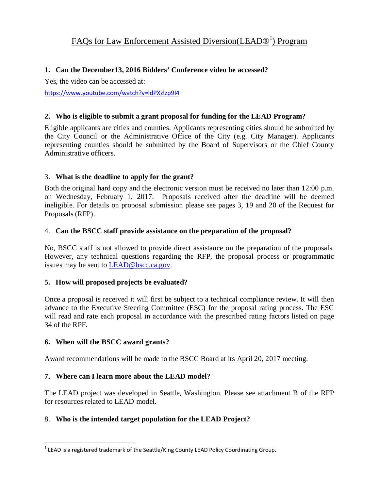# **1. Can the December13, 2016 Bidders' Conference video be accessed?**

Yes, the video can be accessed at:

<https://www.youtube.com/watch?v=ldPXzlzp9I4>

# **2. Who is eligible to submit a grant proposal for funding for the LEAD Program?**

Eligible applicants are cities and counties. Applicants representing cities should be submitted by the City Council or the Administrative Office of the City (e.g. City Manager). Applicants representing counties should be submitted by the Board of Supervisors or the Chief County Administrative officers.

# 3. **What is the deadline to apply for the grant?**

Both the original hard copy and the electronic version must be received no later than 12:00 p.m. on Wednesday, February 1, 2017. Proposals received after the deadline will be deemed ineligible. For details on proposal submission please see pages 3, 19 and 20 of the Request for Proposals (RFP).

### 4. **Can the BSCC staff provide assistance on the preparation of the proposal?**

No, BSCC staff is not allowed to provide direct assistance on the preparation of the proposals. However, any technical questions regarding the RFP, the proposal process or programmatic issues may be sent to [LEAD@bscc.ca.gov.](mailto:LEAD@bscc.ca.gov)

# **5. How will proposed projects be evaluated?**

Once a proposal is received it will first be subject to a technical compliance review. It will then advance to the Executive Steering Committee (ESC) for the proposal rating process. The ESC will read and rate each proposal in accordance with the prescribed rating factors listed on page 34 of the RPF.

# **6. When will the BSCC award grants?**

Award recommendations will be made to the BSCC Board at its April 20, 2017 meeting.

# **7. Where can I learn more about the LEAD model?**

The LEAD project was developed in Seattle, Washington. Please see attachment B of the RFP for resources related to LEAD model.

# 8. **Who is the intended target population for the LEAD Project?**

<span id="page-0-0"></span> $1$  LEAD is a registered trademark of the Seattle/King County LEAD Policy Coordinating Group.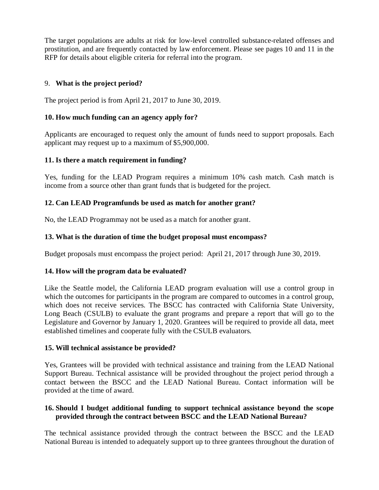The target populations are adults at risk for low-level controlled substance-related offenses and prostitution, and are frequently contacted by law enforcement. Please see pages 10 and 11 in the RFP for details about eligible criteria for referral into the program.

# 9. **What is the project period?**

The project period is from April 21, 2017 to June 30, 2019.

## **10. How much funding can an agency apply for?**

Applicants are encouraged to request only the amount of funds need to support proposals. Each applicant may request up to a maximum of \$5,900,000.

### **11. Is there a match requirement in funding?**

Yes, funding for the LEAD Program requires a minimum 10% cash match. Cash match is income from a source other than grant funds that is budgeted for the project.

### **12. Can LEAD Programfunds be used as match for another grant?**

No, the LEAD Programmay not be used as a match for another grant.

### **13. What is the duration of time the b**u**dget proposal must encompass?**

Budget proposals must encompass the project period: April 21, 2017 through June 30, 2019.

#### **14. How will the program data be evaluated?**

Like the Seattle model, the California LEAD program evaluation will use a control group in which the outcomes for participants in the program are compared to outcomes in a control group, which does not receive services. The BSCC has contracted with California State University, Long Beach (CSULB) to evaluate the grant programs and prepare a report that will go to the Legislature and Governor by January 1, 2020. Grantees will be required to provide all data, meet established timelines and cooperate fully with the CSULB evaluators.

#### **15. Will technical assistance be provided?**

Yes, Grantees will be provided with technical assistance and training from the LEAD National Support Bureau. Technical assistance will be provided throughout the project period through a contact between the BSCC and the LEAD National Bureau. Contact information will be provided at the time of award.

### **16. Should I budget additional funding to support technical assistance beyond the scope provided through the contract between BSCC and the LEAD National Bureau?**

The technical assistance provided through the contract between the BSCC and the LEAD National Bureau is intended to adequately support up to three grantees throughout the duration of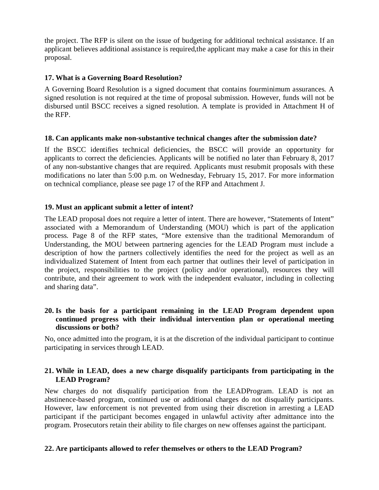the project. The RFP is silent on the issue of budgeting for additional technical assistance. If an applicant believes additional assistance is required,the applicant may make a case for this in their proposal.

# **17. What is a Governing Board Resolution?**

A Governing Board Resolution is a signed document that contains fourminimum assurances. A signed resolution is not required at the time of proposal submission. However, funds will not be disbursed until BSCC receives a signed resolution. A template is provided in Attachment H of the RFP.

### **18. Can applicants make non-substantive technical changes after the submission date?**

If the BSCC identifies technical deficiencies, the BSCC will provide an opportunity for applicants to correct the deficiencies. Applicants will be notified no later than February 8, 2017 of any non-substantive changes that are required. Applicants must resubmit proposals with these modifications no later than 5:00 p.m. on Wednesday, February 15, 2017. For more information on technical compliance, please see page 17 of the RFP and Attachment J.

# **19. Must an applicant submit a letter of intent?**

The LEAD proposal does not require a letter of intent. There are however, "Statements of Intent" associated with a Memorandum of Understanding (MOU) which is part of the application process. Page 8 of the RFP states, "More extensive than the traditional Memorandum of Understanding, the MOU between partnering agencies for the LEAD Program must include a description of how the partners collectively identifies the need for the project as well as an individualized Statement of Intent from each partner that outlines their level of participation in the project, responsibilities to the project (policy and/or operational), resources they will contribute, and their agreement to work with the independent evaluator, including in collecting and sharing data".

## **20. Is the basis for a participant remaining in the LEAD Program dependent upon continued progress with their individual intervention plan or operational meeting discussions or both?**

No, once admitted into the program, it is at the discretion of the individual participant to continue participating in services through LEAD.

### **21. While in LEAD, does a new charge disqualify participants from participating in the LEAD Program?**

New charges do not disqualify participation from the LEADProgram. LEAD is not an abstinence-based program, continued use or additional charges do not disqualify participants. However, law enforcement is not prevented from using their discretion in arresting a LEAD participant if the participant becomes engaged in unlawful activity after admittance into the program. Prosecutors retain their ability to file charges on new offenses against the participant.

# **22. Are participants allowed to refer themselves or others to the LEAD Program?**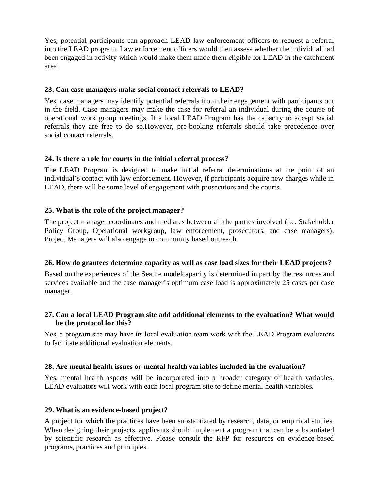Yes, potential participants can approach LEAD law enforcement officers to request a referral into the LEAD program. Law enforcement officers would then assess whether the individual had been engaged in activity which would make them made them eligible for LEAD in the catchment area.

### **23. Can case managers make social contact referrals to LEAD?**

Yes, case managers may identify potential referrals from their engagement with participants out in the field. Case managers may make the case for referral an individual during the course of operational work group meetings. If a local LEAD Program has the capacity to accept social referrals they are free to do so.However, pre-booking referrals should take precedence over social contact referrals.

### **24. Is there a role for courts in the initial referral process?**

The LEAD Program is designed to make initial referral determinations at the point of an individual's contact with law enforcement. However, if participants acquire new charges while in LEAD, there will be some level of engagement with prosecutors and the courts.

### **25. What is the role of the project manager?**

The project manager coordinates and mediates between all the parties involved (i.e. Stakeholder Policy Group, Operational workgroup, law enforcement, prosecutors, and case managers). Project Managers will also engage in community based outreach.

# **26. How do grantees determine capacity as well as case load sizes for their LEAD projects?**

Based on the experiences of the Seattle modelcapacity is determined in part by the resources and services available and the case manager's optimum case load is approximately 25 cases per case manager.

### **27. Can a local LEAD Program site add additional elements to the evaluation? What would be the protocol for this?**

Yes, a program site may have its local evaluation team work with the LEAD Program evaluators to facilitate additional evaluation elements.

#### **28. Are mental health issues or mental health variables included in the evaluation?**

Yes, mental health aspects will be incorporated into a broader category of health variables. LEAD evaluators will work with each local program site to define mental health variables.

#### **29. What is an evidence-based project?**

A project for which the practices have been substantiated by research, data, or empirical studies. When designing their projects, applicants should implement a program that can be substantiated by scientific research as effective. Please consult the RFP for resources on evidence-based programs, practices and principles.